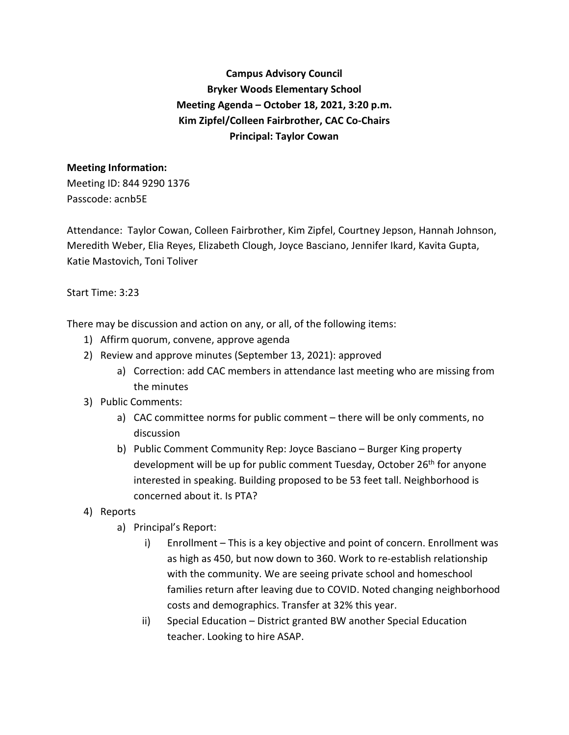**Campus Advisory Council Bryker Woods Elementary School Meeting Agenda – October 18, 2021, 3:20 p.m. Kim Zipfel/Colleen Fairbrother, CAC Co-Chairs Principal: Taylor Cowan**

**Meeting Information:** Meeting ID: 844 9290 1376 Passcode: acnb5E

Attendance: Taylor Cowan, Colleen Fairbrother, Kim Zipfel, Courtney Jepson, Hannah Johnson, Meredith Weber, Elia Reyes, Elizabeth Clough, Joyce Basciano, Jennifer Ikard, Kavita Gupta, Katie Mastovich, Toni Toliver

Start Time: 3:23

There may be discussion and action on any, or all, of the following items:

- 1) Affirm quorum, convene, approve agenda
- 2) Review and approve minutes (September 13, 2021): approved
	- a) Correction: add CAC members in attendance last meeting who are missing from the minutes
- 3) Public Comments:
	- a) CAC committee norms for public comment there will be only comments, no discussion
	- b) Public Comment Community Rep: Joyce Basciano Burger King property development will be up for public comment Tuesday, October 26<sup>th</sup> for anyone interested in speaking. Building proposed to be 53 feet tall. Neighborhood is concerned about it. Is PTA?
- 4) Reports
	- a) Principal's Report:
		- i) Enrollment This is a key objective and point of concern. Enrollment was as high as 450, but now down to 360. Work to re-establish relationship with the community. We are seeing private school and homeschool families return after leaving due to COVID. Noted changing neighborhood costs and demographics. Transfer at 32% this year.
		- ii) Special Education District granted BW another Special Education teacher. Looking to hire ASAP.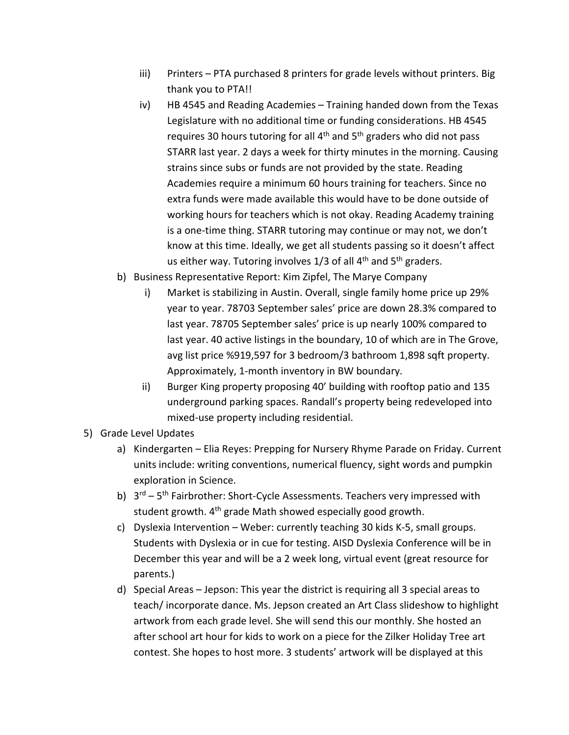- iii) Printers PTA purchased 8 printers for grade levels without printers. Big thank you to PTA!!
- iv) HB 4545 and Reading Academies Training handed down from the Texas Legislature with no additional time or funding considerations. HB 4545 requires 30 hours tutoring for all 4<sup>th</sup> and 5<sup>th</sup> graders who did not pass STARR last year. 2 days a week for thirty minutes in the morning. Causing strains since subs or funds are not provided by the state. Reading Academies require a minimum 60 hours training for teachers. Since no extra funds were made available this would have to be done outside of working hours for teachers which is not okay. Reading Academy training is a one-time thing. STARR tutoring may continue or may not, we don't know at this time. Ideally, we get all students passing so it doesn't affect us either way. Tutoring involves  $1/3$  of all  $4<sup>th</sup>$  and  $5<sup>th</sup>$  graders.
- b) Business Representative Report: Kim Zipfel, The Marye Company
	- i) Market is stabilizing in Austin. Overall, single family home price up 29% year to year. 78703 September sales' price are down 28.3% compared to last year. 78705 September sales' price is up nearly 100% compared to last year. 40 active listings in the boundary, 10 of which are in The Grove, avg list price %919,597 for 3 bedroom/3 bathroom 1,898 sqft property. Approximately, 1-month inventory in BW boundary.
	- ii) Burger King property proposing 40' building with rooftop patio and 135 underground parking spaces. Randall's property being redeveloped into mixed-use property including residential.
- 5) Grade Level Updates
	- a) Kindergarten Elia Reyes: Prepping for Nursery Rhyme Parade on Friday. Current units include: writing conventions, numerical fluency, sight words and pumpkin exploration in Science.
	- b)  $3^{rd}$  5<sup>th</sup> Fairbrother: Short-Cycle Assessments. Teachers very impressed with student growth. 4<sup>th</sup> grade Math showed especially good growth.
	- c) Dyslexia Intervention Weber: currently teaching 30 kids K-5, small groups. Students with Dyslexia or in cue for testing. AISD Dyslexia Conference will be in December this year and will be a 2 week long, virtual event (great resource for parents.)
	- d) Special Areas Jepson: This year the district is requiring all 3 special areas to teach/ incorporate dance. Ms. Jepson created an Art Class slideshow to highlight artwork from each grade level. She will send this our monthly. She hosted an after school art hour for kids to work on a piece for the Zilker Holiday Tree art contest. She hopes to host more. 3 students' artwork will be displayed at this